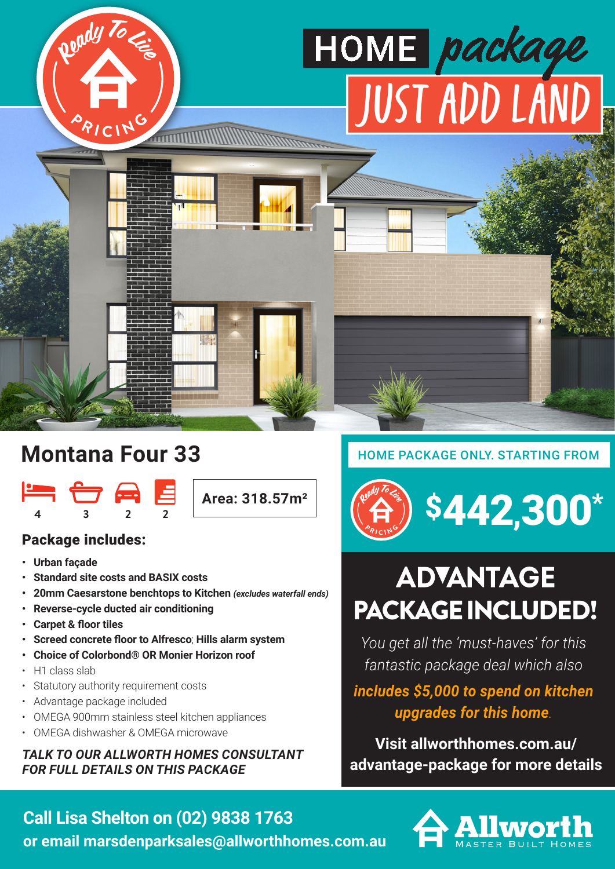

# **Montana Four 33**



**Area: 318.57m²**

### Package includes:

- **Urban façade**
- **Standard site costs and BASIX costs**
- **20mm Caesarstone benchtops to Kitchen** *(excludes waterfall ends)*
- **Reverse-cycle ducted air conditioning**
- **Carpet & floor tiles**
- **Screed concrete floor to Alfresco**; **Hills alarm system**
- **Choice of Colorbond® OR Monier Horizon roof**
- H1 class slab
- Statutory authority requirement costs
- Advantage package included
- OMEGA 900mm stainless steel kitchen appliances
- OMEGA dishwasher & OMEGA microwave

#### *TALK TO OUR ALLWORTH HOMES CONSULTANT FOR FULL DETAILS ON THIS PACKAGE*

### HOME PACKAGE ONLY. STARTING FROM

# \$442,300 \*

# **ADVANTAGE** PACKAGE INCLUDED!

*You get all the 'must-haves' for this fantastic package deal which also* 

## *includes \$5,000 to spend on kitchen upgrades for this home.*

**Visit allworthhomes.com.au/ advantage-package for more details**



### **Call Lisa Shelton on (02) 9838 1763**

**or email marsdenparksales@allworthhomes.com.au**